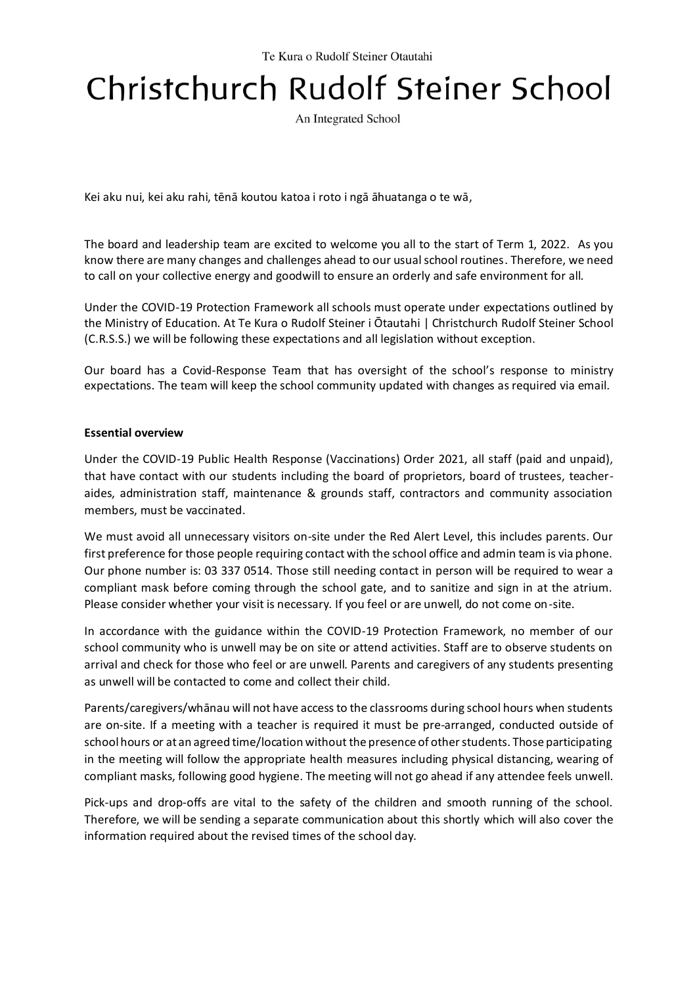# Christchurch Rudolf Steiner School

An Integrated School

Kei aku nui, kei aku rahi, tēnā koutou katoa i roto i ngā āhuatanga o te wā,

The board and leadership team are excited to welcome you all to the start of Term 1, 2022. As you know there are many changes and challenges ahead to our usual school routines. Therefore, we need to call on your collective energy and goodwill to ensure an orderly and safe environment for all.

Under the COVID-19 Protection Framework all schools must operate under expectations outlined by the Ministry of Education. At Te Kura o Rudolf Steiner i Ōtautahi | Christchurch Rudolf Steiner School (C.R.S.S.) we will be following these expectations and all legislation without exception.

Our board has a Covid-Response Team that has oversight of the school's response to ministry expectations. The team will keep the school community updated with changes as required via email.

#### **Essential overview**

Under the COVID-19 Public Health Response (Vaccinations) Order 2021, all staff (paid and unpaid), that have contact with our students including the board of proprietors, board of trustees, teacheraides, administration staff, maintenance & grounds staff, contractors and community association members, must be vaccinated.

We must avoid all unnecessary visitors on-site under the Red Alert Level, this includes parents. Our first preference for those people requiring contact with the school office and admin team is via phone. Our phone number is: 03 337 0514. Those still needing contact in person will be required to wear a compliant mask before coming through the school gate, and to sanitize and sign in at the atrium. Please consider whether your visit is necessary. If you feel or are unwell, do not come on-site.

In accordance with the guidance within the COVID-19 Protection Framework, no member of our school community who is unwell may be on site or attend activities. Staff are to observe students on arrival and check for those who feel or are unwell. Parents and caregivers of any students presenting as unwell will be contacted to come and collect their child.

Parents/caregivers/whānau will not have access to the classrooms during school hours when students are on-site. If a meeting with a teacher is required it must be pre-arranged, conducted outside of school hours or at an agreed time/location without the presence of other students. Those participating in the meeting will follow the appropriate health measures including physical distancing, wearing of compliant masks, following good hygiene. The meeting will not go ahead if any attendee feels unwell.

Pick-ups and drop-offs are vital to the safety of the children and smooth running of the school. Therefore, we will be sending a separate communication about this shortly which will also cover the information required about the revised times of the school day.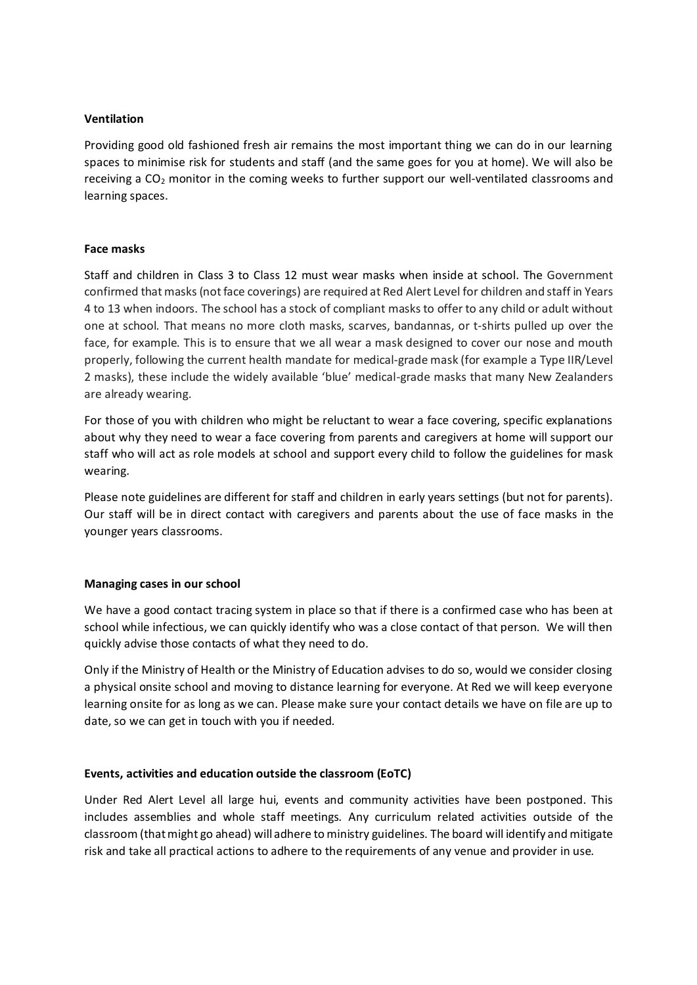#### **Ventilation**

Providing good old fashioned fresh air remains the most important thing we can do in our learning spaces to minimise risk for students and staff (and the same goes for you at home). We will also be receiving a  $CO<sub>2</sub>$  monitor in the coming weeks to further support our well-ventilated classrooms and learning spaces.

### **Face masks**

Staff and children in Class 3 to Class 12 must wear masks when inside at school. The Government confirmed that masks (not face coverings) are required at Red Alert Level for children and staff in Years 4 to 13 when indoors. The school has a stock of compliant masks to offer to any child or adult without one at school. That means no more cloth masks, scarves, bandannas, or t-shirts pulled up over the face, for example. This is to ensure that we all wear a mask designed to cover our nose and mouth properly, following the current health mandate for medical-grade mask (for example a Type IIR/Level 2 masks), these include the widely available 'blue' medical-grade masks that many New Zealanders are already wearing.

For those of you with children who might be reluctant to wear a face covering, specific explanations about why they need to wear a face covering from parents and caregivers at home will support our staff who will act as role models at school and support every child to follow the guidelines for mask wearing.

Please note guidelines are different for staff and children in early years settings (but not for parents). Our staff will be in direct contact with caregivers and parents about the use of face masks in the younger years classrooms.

#### **Managing cases in our school**

We have a good contact tracing system in place so that if there is a confirmed case who has been at school while infectious, we can quickly identify who was a close contact of that person. We will then quickly advise those contacts of what they need to do.

Only if the Ministry of Health or the Ministry of Education advises to do so, would we consider closing a physical onsite school and moving to distance learning for everyone. At Red we will keep everyone learning onsite for as long as we can. Please make sure your contact details we have on file are up to date, so we can get in touch with you if needed.

## **Events, activities and education outside the classroom (EoTC)**

Under Red Alert Level all large hui, events and community activities have been postponed. This includes assemblies and whole staff meetings. Any curriculum related activities outside of the classroom (that might go ahead) will adhere to ministry guidelines. The board will identify and mitigate risk and take all practical actions to adhere to the requirements of any venue and provider in use.